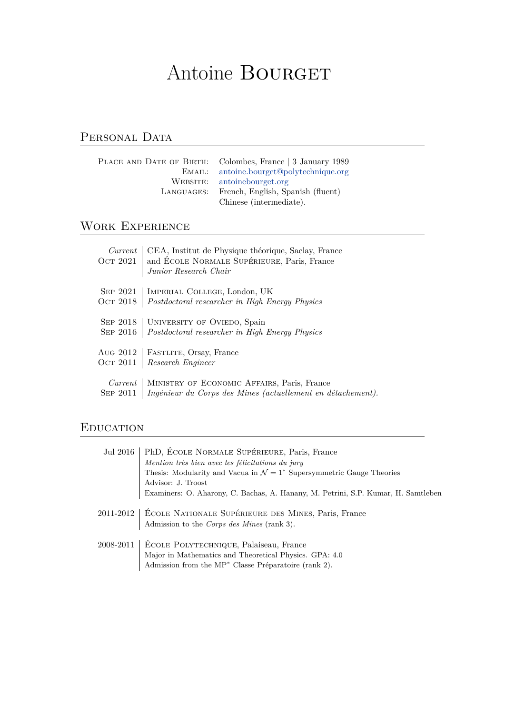# Antoine BOURGET

# PERSONAL DATA

| PLACE AND DATE OF BIRTH: Colombes, France 3 January 1989 |
|----------------------------------------------------------|
| EMAIL: antoine.bourget@polytechnique.org                 |
| WEBSITE: antoinebourget.org                              |
| LANGUAGES: French, English, Spanish (fluent)             |
| Chinese (intermediate).                                  |

## Work Experience

| Current<br>OCT $2021$ | CEA, Institut de Physique théorique, Saclay, France<br>and ÉCOLE NORMALE SUPÉRIEURE, Paris, France<br>Junior Research Chair |
|-----------------------|-----------------------------------------------------------------------------------------------------------------------------|
| SEP 2021              | IMPERIAL COLLEGE, London, UK                                                                                                |
| Ост 2018              | Postdoctoral researcher in High Energy Physics                                                                              |
|                       | SEP 2018   UNIVERSITY OF OVIEDO, Spain                                                                                      |
| SEP 2016              | Postdoctoral researcher in High Energy Physics                                                                              |
| Aug 2012              | FASTLITE, Orsay, France                                                                                                     |
| Ост 2011              | Research Engineer                                                                                                           |
| Current               | MINISTRY OF ECONOMIC AFFAIRS, Paris, France                                                                                 |
| SEP 2011              | Ingénieur du Corps des Mines (actuellement en détachement).                                                                 |

## **EDUCATION**

| Jul 2016 | PhD, ÉCOLE NORMALE SUPÉRIEURE, Paris, France<br>Mention très bien avec les félicitations du jury<br>Thesis: Modularity and Vacua in $\mathcal{N} = 1^*$ Supersymmetric Gauge Theories<br>Advisor: J. Troost<br>Examiners: O. Aharony, C. Bachas, A. Hanany, M. Petrini, S.P. Kumar, H. Samtleben |
|----------|--------------------------------------------------------------------------------------------------------------------------------------------------------------------------------------------------------------------------------------------------------------------------------------------------|
|          | 2011-2012   ÉCOLE NATIONALE SUPÉRIEURE DES MINES, Paris, France<br>Admission to the Corps des Mines (rank 3).                                                                                                                                                                                    |
|          | 2008-2011   ÉCOLE POLYTECHNIQUE, Palaiseau, France<br>Major in Mathematics and Theoretical Physics. GPA: 4.0<br>Admission from the MP <sup>*</sup> Classe Préparatoire (rank 2).                                                                                                                 |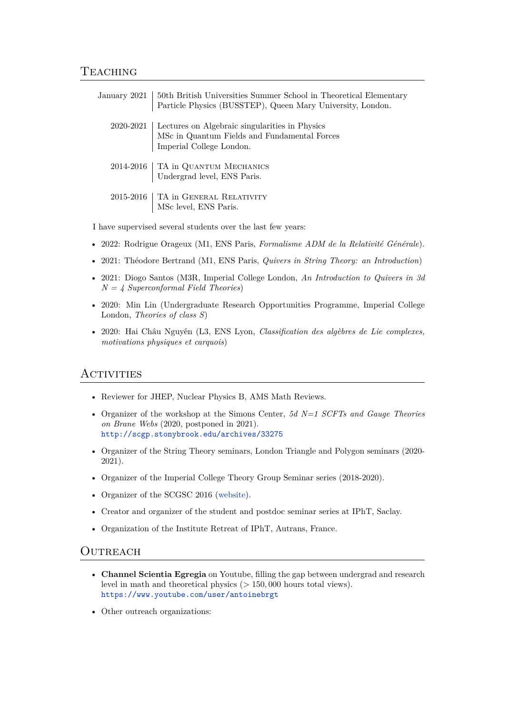| January 2021   50th British Universities Summer School in Theoretical Elementary<br>Particle Physics (BUSSTEP), Queen Mary University, London. |
|------------------------------------------------------------------------------------------------------------------------------------------------|
| 2020-2021   Lectures on Algebraic singularities in Physics<br>MSc in Quantum Fields and Fundamental Forces<br>Imperial College London.         |
|                                                                                                                                                |
| $2014\text{-}2016\ \textcolor{red}{\big }$ TA in QUANTUM MECHANICS Undergrad level, ENS Paris.                                                 |
|                                                                                                                                                |
| $2015\text{-}2016\text{ } \bigg \begin{array}{c}\text{TA in GENERAL RELATIVITY}\\\text{MSc level, ENS Paris.}\end{array}\bigg $                |
|                                                                                                                                                |

I have supervised several students over the last few years:

- 2022: Rodrigue Orageux (M1, ENS Paris, *Formalisme ADM de la Relativité Générale*).
- 2021: Théodore Bertrand (M1, ENS Paris, *Quivers in String Theory: an Introduction*)
- 2021: Diogo Santos (M3R, Imperial College London, *An Introduction to Quivers in 3d N = 4 Superconformal Field Theories*)
- 2020: Min Lin (Undergraduate Research Opportunities Programme, Imperial College London, *Theories of class S*)
- 2020: Hai Châu Nguyên (L3, ENS Lyon, *Classification des algèbres de Lie complexes, motivations physiques et carquois*)

## Activities

- Reviewer for JHEP, Nuclear Physics B, AMS Math Reviews.
- Organizer of the workshop at the Simons Center, *5d N=1 SCFTs and Gauge Theories on Brane Webs* (2020, postponed in 2021). <http://scgp.stonybrook.edu/archives/33275>
- Organizer of the String Theory seminars, London Triangle and Polygon seminars (2020- 2021).
- Organizer of the Imperial College Theory Group Seminar series (2018-2020).
- Organizer of the SCGSC 2016 ([website](https://sites.google.com/site/scgsc2016/)).
- Creator and organizer of the student and postdoc seminar series at IPhT, Saclay.
- Organization of the Institute Retreat of IPhT, Autrans, France.

#### **OUTREACH**

- **Channel Scientia Egregia** on Youtube, filling the gap between undergrad and research level in math and theoretical physics (*>* 150*,* 000 hours total views). <https://www.youtube.com/user/antoinebrgt>
- Other outreach organizations: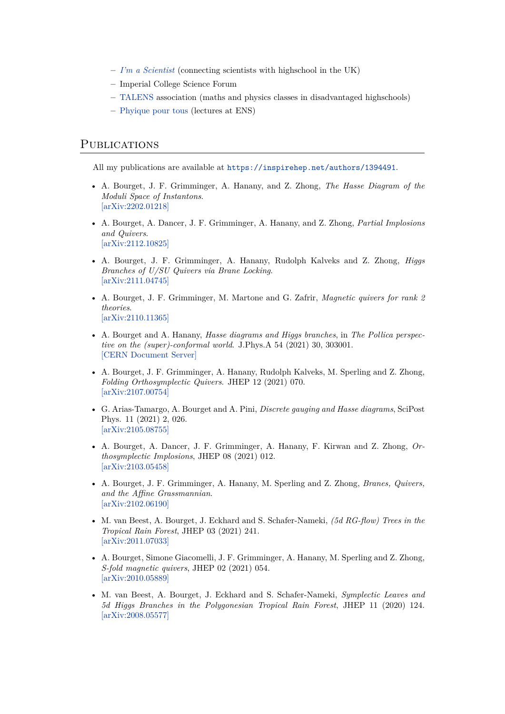- **–** *[I'm a Scientist](https://imascientist.org.uk/)* (connecting scientists with highschool in the UK)
- **–** Imperial College Science Forum
- **–** [TALENS](https://pesu.ens.fr/talens/) association (maths and physics classes in disadvantaged highschools)
- **–** [Phyique pour tous](https://tilloy.wordpress.com/teaching/physique-pour-tous/) (lectures at ENS)

#### **PUBLICATIONS**

All my publications are available at <https://inspirehep.net/authors/1394491>.

- A. Bourget, J. F. Grimminger, A. Hanany, and Z. Zhong, *The Hasse Diagram of the Moduli Space of Instantons*. [\[arXiv:2202.01218\]](https://arxiv.org/abs/2202.01218)
- A. Bourget, A. Dancer, J. F. Grimminger, A. Hanany, and Z. Zhong, *Partial Implosions and Quivers*. [\[arXiv:2112.10825\]](https://arxiv.org/abs/2112.10825)
- A. Bourget, J. F. Grimminger, A. Hanany, Rudolph Kalveks and Z. Zhong, *Higgs Branches of U/SU Quivers via Brane Locking*. [\[arXiv:2111.04745\]](https://arxiv.org/abs/2111.04745)
- A. Bourget, J. F. Grimminger, M. Martone and G. Zafrir, *Magnetic quivers for rank 2 theories*. [\[arXiv:2110.11365\]](https://arxiv.org/abs/2110.11365)
- A. Bourget and A. Hanany, *Hasse diagrams and Higgs branches*, in *The Pollica perspective on the (super)-conformal world*. J.Phys.A 54 (2021) 30, 303001. [\[CERN Document Server\]](http://cds.cern.ch/record/2776592)
- A. Bourget, J. F. Grimminger, A. Hanany, Rudolph Kalveks, M. Sperling and Z. Zhong, *Folding Orthosymplectic Quivers*. JHEP 12 (2021) 070. [\[arXiv:2107.00754\]](https://arxiv.org/abs/2107.00754)
- G. Arias-Tamargo, A. Bourget and A. Pini, *Discrete gauging and Hasse diagrams*, SciPost Phys. 11 (2021) 2, 026. [\[arXiv:2105.08755\]](https://arxiv.org/abs/2105.08755)
- A. Bourget, A. Dancer, J. F. Grimminger, A. Hanany, F. Kirwan and Z. Zhong, *Orthosymplectic Implosions*, JHEP 08 (2021) 012. [\[arXiv:2103.05458\]](https://arxiv.org/abs/2103.05458)
- A. Bourget, J. F. Grimminger, A. Hanany, M. Sperling and Z. Zhong, *Branes, Quivers, and the Affine Grassmannian*. [\[arXiv:2102.06190\]](https://arxiv.org/abs/2102.06190)
- M. van Beest, A. Bourget, J. Eckhard and S. Schafer-Nameki, *(5d RG-flow) Trees in the Tropical Rain Forest*, JHEP 03 (2021) 241. [\[arXiv:2011.07033\]](https://arxiv.org/abs/2011.07033)
- A. Bourget, Simone Giacomelli, J. F. Grimminger, A. Hanany, M. Sperling and Z. Zhong, *S-fold magnetic quivers*, JHEP 02 (2021) 054. [\[arXiv:2010.05889\]](https://arxiv.org/abs/2010.05889)
- M. van Beest, A. Bourget, J. Eckhard and S. Schafer-Nameki, *Symplectic Leaves and 5d Higgs Branches in the Polygonesian Tropical Rain Forest*, JHEP 11 (2020) 124. [\[arXiv:2008.05577\]](https://arxiv.org/abs/2008.05577)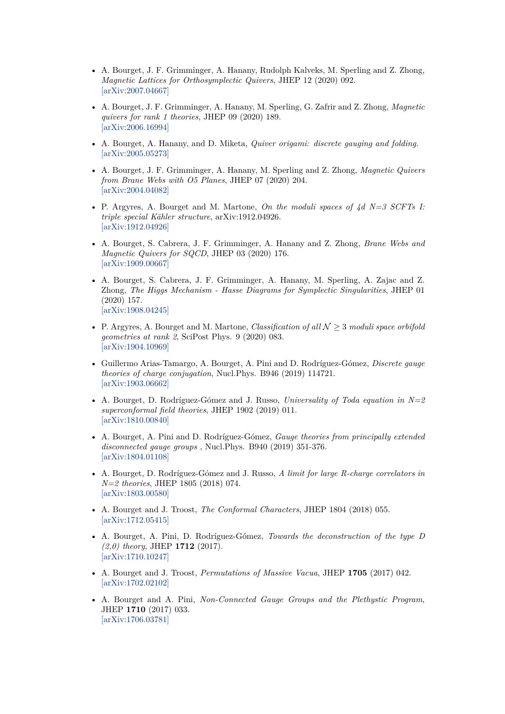- A. Bourget, J. F. Grimminger, A. Hanany, Rudolph Kalveks, M. Sperling and Z. Zhong, *Magnetic Lattices for Orthosymplectic Quivers*, JHEP 12 (2020) 092. [\[arXiv:2007.04667\]](https://arxiv.org/abs/2007.04667)
- A. Bourget, J. F. Grimminger, A. Hanany, M. Sperling, G. Zafrir and Z. Zhong, *Magnetic quivers for rank 1 theories*, JHEP 09 (2020) 189. [\[arXiv:2006.16994\]](https://arxiv.org/abs/2006.16994)
- A. Bourget, A. Hanany, and D. Miketa, *Quiver origami: discrete gauging and folding*. [\[arXiv:2005.05273\]](https://arxiv.org/abs/2005.05273)
- A. Bourget, J. F. Grimminger, A. Hanany, M. Sperling and Z. Zhong, *Magnetic Quivers from Brane Webs with O5 Planes*, JHEP 07 (2020) 204. [\[arXiv:2004.04082\]](https://arxiv.org/abs/2004.04082)
- P. Argyres, A. Bourget and M. Martone, *On the moduli spaces of 4d N=3 SCFTs I: triple special Kähler structure*, arXiv:1912.04926. [\[arXiv:1912.04926\]](https://arxiv.org/abs/1912.04926)
- A. Bourget, S. Cabrera, J. F. Grimminger, A. Hanany and Z. Zhong, *Brane Webs and Magnetic Quivers for SQCD*, JHEP 03 (2020) 176. [\[arXiv:1909.00667\]](https://arxiv.org/abs/1909.00667)
- A. Bourget, S. Cabrera, J. F. Grimminger, A. Hanany, M. Sperling, A. Zajac and Z. Zhong, *The Higgs Mechanism - Hasse Diagrams for Symplectic Singularities*, JHEP 01 (2020) 157. [\[arXiv:1908.04245\]](https://arxiv.org/abs/1908.04245)
- P. Argyres, A. Bourget and M. Martone, *Classification of all N ≥* 3 *moduli space orbifold geometries at rank 2*, SciPost Phys. 9 (2020) 083. [\[arXiv:1904.10969\]](https://arxiv.org/abs/1904.10969)
- Guillermo Arias-Tamargo, A. Bourget, A. Pini and D. Rodríguez-Gómez, *Discrete gauge theories of charge conjugation*, Nucl.Phys. B946 (2019) 114721. [\[arXiv:1903.06662\]](https://arxiv.org/abs/1903.06662)
- A. Bourget, D. Rodríguez-Gómez and J. Russo, *Universality of Toda equation in*  $N=2$ *superconformal field theories*, JHEP 1902 (2019) 011. [\[arXiv:1810.00840\]](https://arxiv.org/abs/1810.00840)
- A. Bourget, A. Pini and D. Rodríguez-Gómez, *Gauge theories from principally extended disconnected gauge groups* , Nucl.Phys. B940 (2019) 351-376. [\[arXiv:1804.01108\]](https://arxiv.org/abs/1804.01108)
- A. Bourget, D. Rodríguez-Gómez and J. Russo, *A limit for large R-charge correlators in N=2 theories*, JHEP 1805 (2018) 074. [\[arXiv:1803.00580\]](https://arxiv.org/abs/1803.00580)
- A. Bourget and J. Troost, *The Conformal Characters*, JHEP 1804 (2018) 055. [\[arXiv:1712.05415\]](https://arxiv.org/abs/1712.05415)
- A. Bourget, A. Pini, D. Rodríguez-Gómez, *Towards the deconstruction of the type D (2,0) theory*, JHEP **1712** (2017). [\[arXiv:1710.10247\]](https://arxiv.org/abs/1710.10247)
- A. Bourget and J. Troost, *Permutations of Massive Vacua*, JHEP **1705** (2017) 042. [\[arXiv:1702.02102\]](https://arxiv.org/abs/1702.02102)
- A. Bourget and A. Pini, *Non-Connected Gauge Groups and the Plethystic Program*, JHEP **1710** (2017) 033. [\[arXiv:1706.03781\]](https://arxiv.org/abs/1706.03781)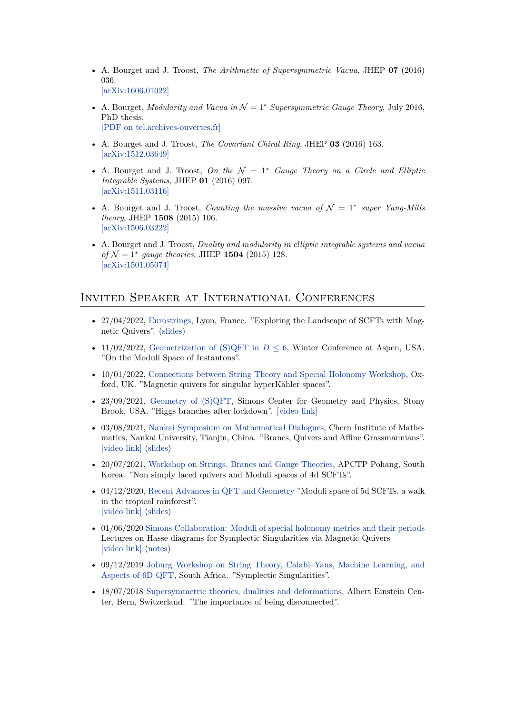- A. Bourget and J. Troost, *The Arithmetic of Supersymmetric Vacua*, JHEP **07** (2016) 036. [\[arXiv:1606.01022\]](https://arxiv.org/abs/1606.01022)
- A. Bourget, *Modularity and Vacua in N* = 1*<sup>∗</sup> Supersymmetric Gauge Theory*, July 2016, PhD thesis. [\[PDF on tel.archives-ouvertes.fr\]](https://tel.archives-ouvertes.fr/tel-01427599/document)
- A. Bourget and J. Troost, *The Covariant Chiral Ring*, JHEP **03** (2016) 163. [\[arXiv:1512.03649\]](https://arxiv.org/abs/1512.03649)
- A. Bourget and J. Troost, *On the*  $\mathcal{N} = 1^*$  *Gauge Theory on a Circle and Elliptic Integrable Systems*, JHEP **01** (2016) 097. [\[arXiv:1511.03116\]](https://arxiv.org/abs/1511.03116)
- A. Bourget and J. Troost, *Counting the massive vacua of N* = 1*<sup>∗</sup> super Yang-Mills theory*, JHEP **1508** (2015) 106. [\[arXiv:1506.03222\]](https://arxiv.org/abs/1506.03222)
- A. Bourget and J. Troost, *Duality and modularity in elliptic integrable systems and vacua of N* = 1*<sup>∗</sup> gauge theories*, JHEP **1504** (2015) 128. [\[arXiv:1501.05074\]](https://arxiv.org/abs/1501.05074)

## Invited Speaker at International Conferences

- 27/04/2022, [Eurostrings](https://indico.in2p3.fr/event/24284/), Lyon, France. "Exploring the Landscape of SCFTs with Magnetic Quivers". [\(slides\)](http://www.antoinebourget.org/attachments/files/presentations/Bourget_Eurostrings_New.pdf)
- 11/02/2022, [Geometrization of \(S\)QFT in](https://sites.google.com/view/geometryqftaspen2022/home)  $D \leq 6$ , Winter Conference at Aspen, USA. "On the Moduli Space of Instantons".
- 10/01/2022, [Connections between String Theory and Special Holonomy Workshop,](https://sites.duke.edu/scshgap/connections-between-string-theory-and-special-holonomy/) Oxford, UK. "Magnetic quivers for singular hyperKähler spaces".
- 23/09/2021, [Geometry of \(S\)QFT,](http://scgp.stonybrook.edu/archives/33220) Simons Center for Geometry and Physics, Stony Brook, USA. "Higgs branches after lockdown". [\[video link\]](https://www.youtube.com/watch?v=CN0FUnS_UZo)
- 03/08/2021, [Nankai Symposium on Mathematical Dialogues,](https://sites.google.com/view/cim-dialogues/home) Chern Institute of Mathematics, Nankai University, Tianjin, China. "Branes, Quivers and Affine Grassmannians". [\[video link\]](https://www.youtube.com/watch?v=DfS_Jx3V4ZA) ([slides](http://www.antoinebourget.org/attachments/files/presentations/MathematicalDialogues.pdf))
- 20/07/2021, [Workshop on Strings, Branes and Gauge Theories](http://45.120.69.181/plan.php/sbg2021), APCTP Pohang, South Korea. "Non simply laced quivers and Moduli spaces of 4d SCFTs".
- 04/12/2020, [Recent Advances in QFT and Geometry](https://sites.google.com/view/qftandgeometryseminars/mini-workshop) "Moduli space of 5d SCFTs, a walk in the tropical rainforest". [\[video link\]](https://www.youtube.com/watch?v=QGUuWIJUfdI) ([slides](http://www.antoinebourget.org/attachments/files/presentations/QFTgeo.pdf))
- 01/06/2020 [Simons Collaboration: Moduli of special holonomy metrics and their periods](https://sites.duke.edu/scshgap/moduli-of-special-holonomy-metrics-and-their-periods/) Lectures on Hasse diagrams for Symplectic Singularities via Magnetic Quivers [\[video link\]](https://sites.duke.edu/scshgap/antoine-bourget-lectures/) ([notes](http://www.antoinebourget.org/attachments/files/presentations/LectureSimons.pdf))
- 09/12/2019 [Joburg Workshop on String Theory, Calabi–Yaus, Machine Learning, and](http://neo.phys.wits.ac.za/public/workshop_13/) [Aspects of 6D QFT](http://neo.phys.wits.ac.za/public/workshop_13/), South Africa. "Symplectic Singularities".
- 18/07/2018 [Supersymmetric theories, dualities and deformations,](http://susy-gauge.itp.unibe.ch/) Albert Einstein Center, Bern, Switzerland. "The importance of being disconnected".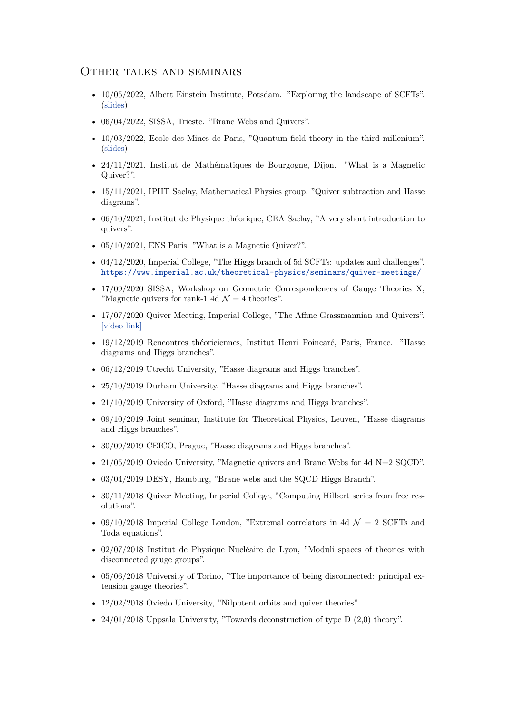#### Other talks and seminars

- 10/05/2022, Albert Einstein Institute, Potsdam. "Exploring the landscape of SCFTs". [\(slides\)](http://www.antoinebourget.org/attachments/files/presentations/potsdam.pdf)
- 06/04/2022, SISSA, Trieste. "Brane Webs and Quivers".
- 10/03/2022, Ecole des Mines de Paris, "Quantum field theory in the third millenium". [\(slides\)](http://www.antoinebourget.org/attachments/files/presentations/Mines.pdf)
- 24/11/2021, Institut de Mathématiques de Bourgogne, Dijon. "What is a Magnetic Quiver?".
- 15/11/2021, IPHT Saclay, Mathematical Physics group, "Quiver subtraction and Hasse diagrams".
- 06/10/2021, Institut de Physique théorique, CEA Saclay, "A very short introduction to quivers".
- 05/10/2021, ENS Paris, "What is a Magnetic Quiver?".
- 04/12/2020, Imperial College, "The Higgs branch of 5d SCFTs: updates and challenges". <https://www.imperial.ac.uk/theoretical-physics/seminars/quiver-meetings/>
- 17/09/2020 SISSA, Workshop on Geometric Correspondences of Gauge Theories X, "Magnetic quivers for rank-1 4d  $\mathcal{N}=4$  theories".
- 17/07/2020 Quiver Meeting, Imperial College, "The Affine Grassmannian and Quivers". [\[video link\]](https://www.imperial.ac.uk/theoretical-physics/seminars/quiver-meetings/)
- 19/12/2019 Rencontres théoriciennes, Institut Henri Poincaré, Paris, France. "Hasse diagrams and Higgs branches".
- 06/12/2019 Utrecht University, "Hasse diagrams and Higgs branches".
- 25/10/2019 Durham University, "Hasse diagrams and Higgs branches".
- 21/10/2019 University of Oxford, "Hasse diagrams and Higgs branches".
- 09/10/2019 Joint seminar, Institute for Theoretical Physics, Leuven, "Hasse diagrams and Higgs branches".
- 30/09/2019 CEICO, Prague, "Hasse diagrams and Higgs branches".
- 21/05/2019 Oviedo University, "Magnetic quivers and Brane Webs for 4d N=2 SQCD".
- 03/04/2019 DESY, Hamburg, "Brane webs and the SQCD Higgs Branch".
- 30/11/2018 Quiver Meeting, Imperial College, "Computing Hilbert series from free resolutions".
- 09/10/2018 Imperial College London, "Extremal correlators in 4d  $\mathcal{N}=2$  SCFTs and Toda equations".
- 02/07/2018 Institut de Physique Nucléaire de Lyon, "Moduli spaces of theories with disconnected gauge groups".
- 05/06/2018 University of Torino, "The importance of being disconnected: principal extension gauge theories".
- 12/02/2018 Oviedo University, "Nilpotent orbits and quiver theories".
- $24/01/2018$  Uppsala University, "Towards deconstruction of type D  $(2,0)$  theory".